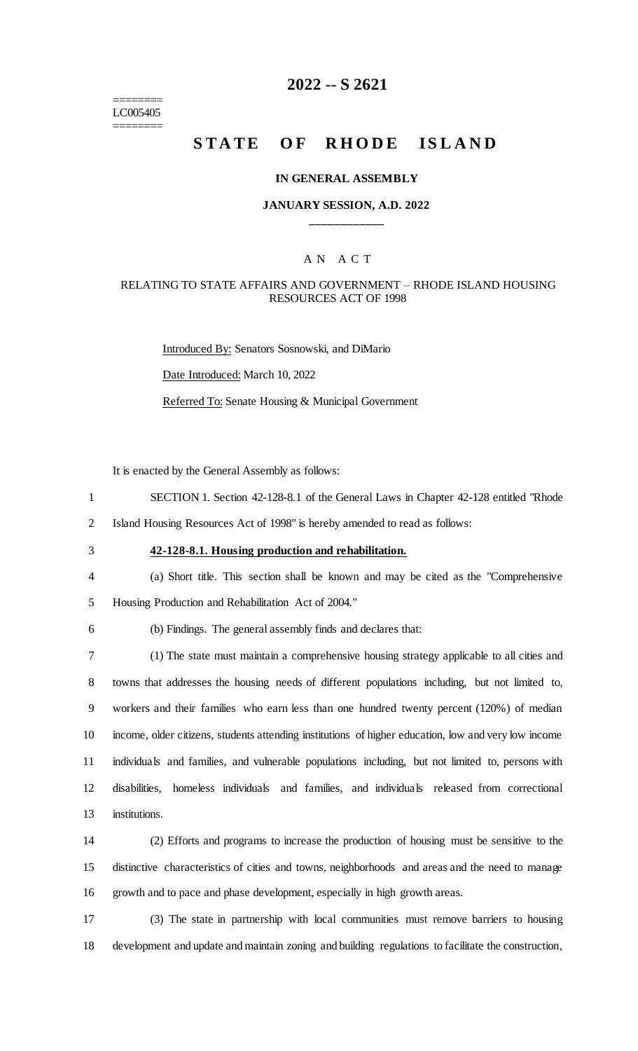======== LC005405 ========

## **2022 -- S 2621**

# **STATE OF RHODE ISLAND**

#### **IN GENERAL ASSEMBLY**

### **JANUARY SESSION, A.D. 2022 \_\_\_\_\_\_\_\_\_\_\_\_**

### A N A C T

### RELATING TO STATE AFFAIRS AND GOVERNMENT – RHODE ISLAND HOUSING RESOURCES ACT OF 1998

Introduced By: Senators Sosnowski, and DiMario Date Introduced: March 10, 2022 Referred To: Senate Housing & Municipal Government

It is enacted by the General Assembly as follows:

- 1 SECTION 1. Section 42-128-8.1 of the General Laws in Chapter 42-128 entitled "Rhode
- 2 Island Housing Resources Act of 1998" is hereby amended to read as follows:
- 

# 3 **42-128-8.1. Housing production and rehabilitation.**

- 4 (a) Short title. This section shall be known and may be cited as the "Comprehensive
- 5 Housing Production and Rehabilitation Act of 2004."
- 

### 6 (b) Findings. The general assembly finds and declares that:

 (1) The state must maintain a comprehensive housing strategy applicable to all cities and towns that addresses the housing needs of different populations including, but not limited to, workers and their families who earn less than one hundred twenty percent (120%) of median income, older citizens, students attending institutions of higher education, low and very low income individuals and families, and vulnerable populations including, but not limited to, persons with disabilities, homeless individuals and families, and individuals released from correctional institutions.

14 (2) Efforts and programs to increase the production of housing must be sensitive to the 15 distinctive characteristics of cities and towns, neighborhoods and areas and the need to manage 16 growth and to pace and phase development, especially in high growth areas.

17 (3) The state in partnership with local communities must remove barriers to housing 18 development and update and maintain zoning and building regulations to facilitate the construction,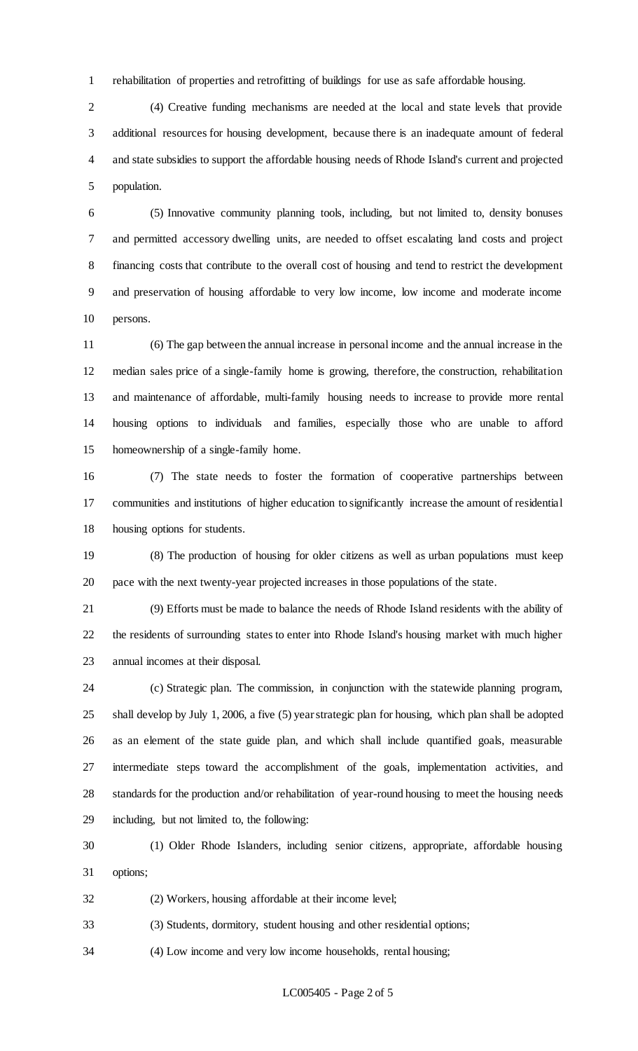rehabilitation of properties and retrofitting of buildings for use as safe affordable housing.

 (4) Creative funding mechanisms are needed at the local and state levels that provide additional resources for housing development, because there is an inadequate amount of federal and state subsidies to support the affordable housing needs of Rhode Island's current and projected population.

 (5) Innovative community planning tools, including, but not limited to, density bonuses and permitted accessory dwelling units, are needed to offset escalating land costs and project financing costs that contribute to the overall cost of housing and tend to restrict the development and preservation of housing affordable to very low income, low income and moderate income persons.

 (6) The gap between the annual increase in personal income and the annual increase in the median sales price of a single-family home is growing, therefore, the construction, rehabilitation and maintenance of affordable, multi-family housing needs to increase to provide more rental housing options to individuals and families, especially those who are unable to afford homeownership of a single-family home.

 (7) The state needs to foster the formation of cooperative partnerships between communities and institutions of higher education to significantly increase the amount of residential housing options for students.

 (8) The production of housing for older citizens as well as urban populations must keep pace with the next twenty-year projected increases in those populations of the state.

 (9) Efforts must be made to balance the needs of Rhode Island residents with the ability of the residents of surrounding states to enter into Rhode Island's housing market with much higher annual incomes at their disposal.

 (c) Strategic plan. The commission, in conjunction with the statewide planning program, shall develop by July 1, 2006, a five (5) year strategic plan for housing, which plan shall be adopted as an element of the state guide plan, and which shall include quantified goals, measurable intermediate steps toward the accomplishment of the goals, implementation activities, and standards for the production and/or rehabilitation of year-round housing to meet the housing needs including, but not limited to, the following:

 (1) Older Rhode Islanders, including senior citizens, appropriate, affordable housing options;

(2) Workers, housing affordable at their income level;

(3) Students, dormitory, student housing and other residential options;

(4) Low income and very low income households, rental housing;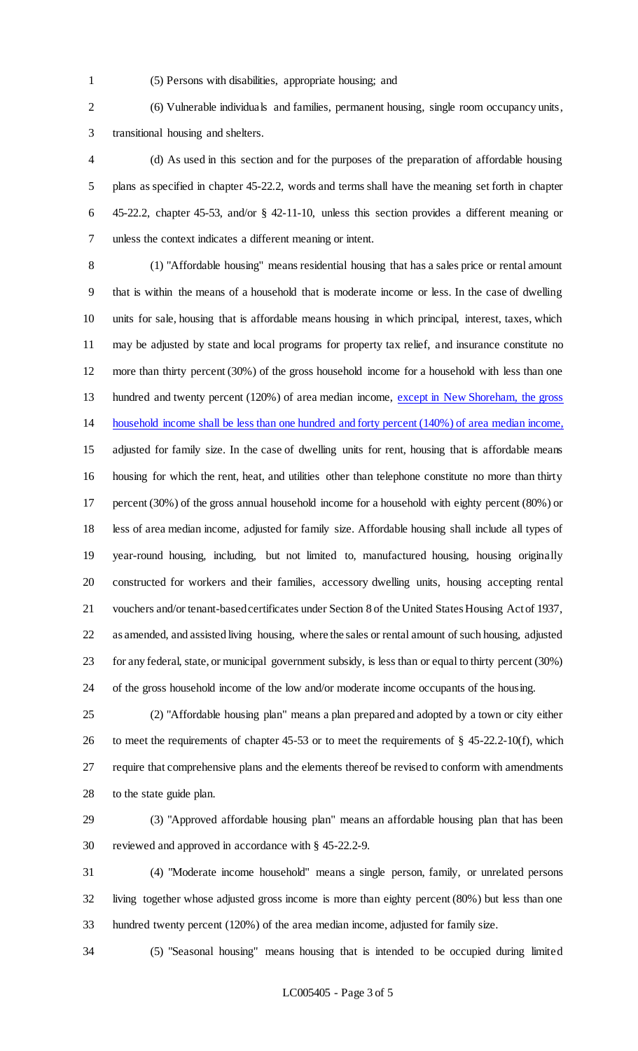- 
- (5) Persons with disabilities, appropriate housing; and

 (6) Vulnerable individuals and families, permanent housing, single room occupancy units, transitional housing and shelters.

 (d) As used in this section and for the purposes of the preparation of affordable housing plans as specified in chapter 45-22.2, words and terms shall have the meaning set forth in chapter 45-22.2, chapter 45-53, and/or § 42-11-10, unless this section provides a different meaning or unless the context indicates a different meaning or intent.

 (1) "Affordable housing" means residential housing that has a sales price or rental amount that is within the means of a household that is moderate income or less. In the case of dwelling units for sale, housing that is affordable means housing in which principal, interest, taxes, which may be adjusted by state and local programs for property tax relief, and insurance constitute no more than thirty percent (30%) of the gross household income for a household with less than one 13 hundred and twenty percent (120%) of area median income, except in New Shoreham, the gross household income shall be less than one hundred and forty percent (140%) of area median income, adjusted for family size. In the case of dwelling units for rent, housing that is affordable means housing for which the rent, heat, and utilities other than telephone constitute no more than thirty percent (30%) of the gross annual household income for a household with eighty percent (80%) or less of area median income, adjusted for family size. Affordable housing shall include all types of year-round housing, including, but not limited to, manufactured housing, housing originally constructed for workers and their families, accessory dwelling units, housing accepting rental vouchers and/or tenant-based certificates under Section 8 of the United States Housing Act of 1937, as amended, and assisted living housing, where the sales or rental amount of such housing, adjusted for any federal, state, or municipal government subsidy, is less than or equal to thirty percent (30%) of the gross household income of the low and/or moderate income occupants of the housing.

 (2) "Affordable housing plan" means a plan prepared and adopted by a town or city either to meet the requirements of chapter 45-53 or to meet the requirements of § 45-22.2-10(f), which require that comprehensive plans and the elements thereof be revised to conform with amendments to the state guide plan.

 (3) "Approved affordable housing plan" means an affordable housing plan that has been reviewed and approved in accordance with § 45-22.2-9.

 (4) "Moderate income household" means a single person, family, or unrelated persons living together whose adjusted gross income is more than eighty percent (80%) but less than one hundred twenty percent (120%) of the area median income, adjusted for family size.

(5) "Seasonal housing" means housing that is intended to be occupied during limited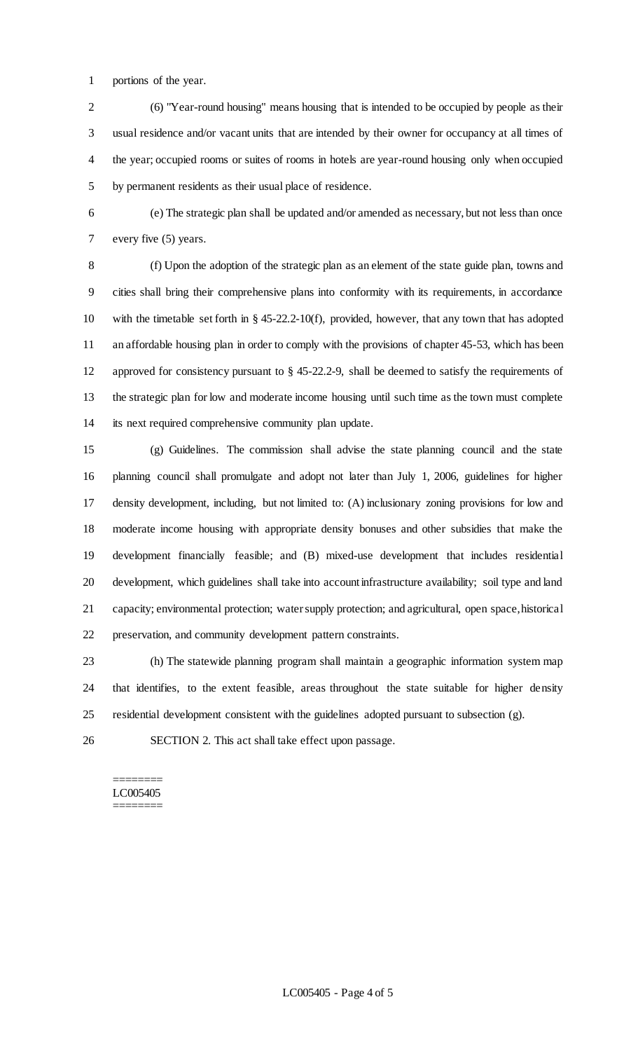portions of the year.

 (6) "Year-round housing" means housing that is intended to be occupied by people as their usual residence and/or vacant units that are intended by their owner for occupancy at all times of the year; occupied rooms or suites of rooms in hotels are year-round housing only when occupied by permanent residents as their usual place of residence.

 (e) The strategic plan shall be updated and/or amended as necessary, but not less than once every five (5) years.

 (f) Upon the adoption of the strategic plan as an element of the state guide plan, towns and cities shall bring their comprehensive plans into conformity with its requirements, in accordance with the timetable set forth in § 45-22.2-10(f), provided, however, that any town that has adopted an affordable housing plan in order to comply with the provisions of chapter 45-53, which has been approved for consistency pursuant to § 45-22.2-9, shall be deemed to satisfy the requirements of the strategic plan for low and moderate income housing until such time as the town must complete its next required comprehensive community plan update.

 (g) Guidelines. The commission shall advise the state planning council and the state planning council shall promulgate and adopt not later than July 1, 2006, guidelines for higher density development, including, but not limited to: (A) inclusionary zoning provisions for low and moderate income housing with appropriate density bonuses and other subsidies that make the development financially feasible; and (B) mixed-use development that includes residential development, which guidelines shall take into account infrastructure availability; soil type and land capacity; environmental protection; water supply protection; and agricultural, open space, historical preservation, and community development pattern constraints.

 (h) The statewide planning program shall maintain a geographic information system map that identifies, to the extent feasible, areas throughout the state suitable for higher density residential development consistent with the guidelines adopted pursuant to subsection (g).

SECTION 2. This act shall take effect upon passage.

#### ======== LC005405 ========